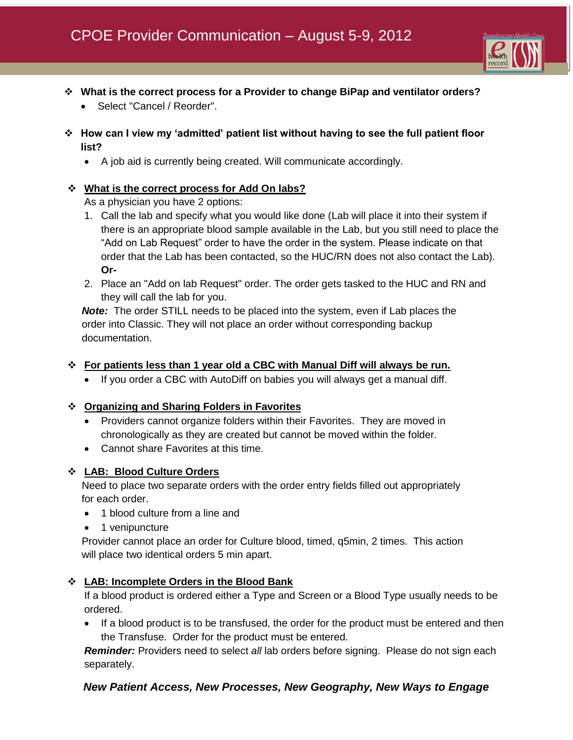

- **What is the correct process for a Provider to change BiPap and ventilator orders?**
	- Select "Cancel / Reorder".
- **How can I view my 'admitted' patient list without having to see the full patient floor list?**
	- A job aid is currently being created. Will communicate accordingly.

## **What is the correct process for Add On labs?**

As a physician you have 2 options:

- 1. Call the lab and specify what you would like done (Lab will place it into their system if there is an appropriate blood sample available in the Lab, but you still need to place the "Add on Lab Request" order to have the order in the system. Please indicate on that order that the Lab has been contacted, so the HUC/RN does not also contact the Lab). **Or-**
- 2. Place an "Add on lab Request" order. The order gets tasked to the HUC and RN and they will call the lab for you.

 *Note:* The order STILL needs to be placed into the system, even if Lab places the order into Classic. They will not place an order without corresponding backup documentation.

### **For patients less than 1 year old a CBC with Manual Diff will always be run.**

If you order a CBC with AutoDiff on babies you will always get a manual diff.

### **Organizing and Sharing Folders in Favorites**

- Providers cannot organize folders within their Favorites. They are moved in chronologically as they are created but cannot be moved within the folder.
- Cannot share Favorites at this time.

### **LAB: Blood Culture Orders**

 Need to place two separate orders with the order entry fields filled out appropriately for each order.

- 1 blood culture from a line and
- 1 venipuncture

 Provider cannot place an order for Culture blood, timed, q5min, 2 times. This action will place two identical orders 5 min apart.

### **LAB: Incomplete Orders in the Blood Bank**

If a blood product is ordered either a Type and Screen or a Blood Type usually needs to be ordered.

• If a blood product is to be transfused, the order for the product must be entered and then the Transfuse. Order for the product must be entered.

*Reminder:* Providers need to select *all* lab orders before signing. Please do not sign each separately.

# *New Patient Access, New Processes, New Geography, New Ways to Engage*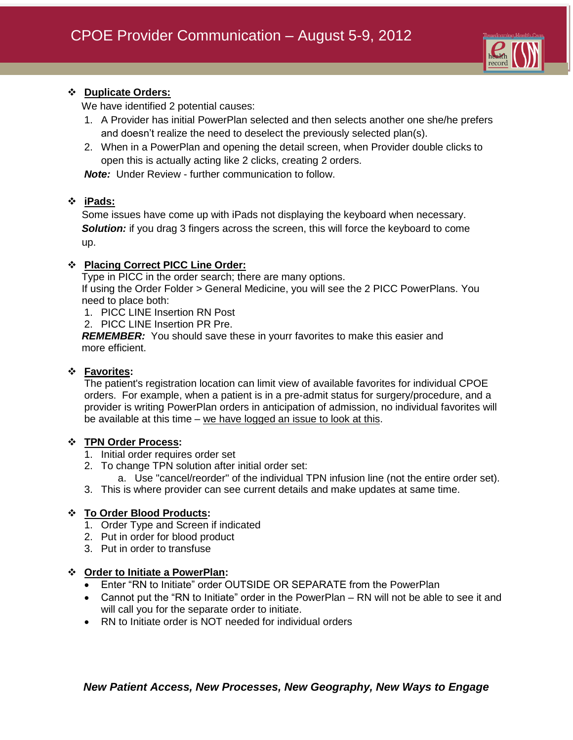

## **Duplicate Orders:**

We have identified 2 potential causes:

- 1. A Provider has initial PowerPlan selected and then selects another one she/he prefers and doesn't realize the need to deselect the previously selected plan(s).
- 2. When in a PowerPlan and opening the detail screen, when Provider double clicks to open this is actually acting like 2 clicks, creating 2 orders.

*Note:* Under Review - further communication to follow.

## **iPads:**

 Some issues have come up with iPads not displaying the keyboard when necessary. **Solution:** if you drag 3 fingers across the screen, this will force the keyboard to come up.

## **Placing Correct PICC Line Order:**

Type in PICC in the order search; there are many options.

 If using the Order Folder > General Medicine, you will see the 2 PICC PowerPlans. You need to place both:

- 1. PICC LINE Insertion RN Post
- 2. PICC LINE Insertion PR Pre.

 *REMEMBER:* You should save these in yourr favorites to make this easier and more efficient.

### **Favorites:**

The patient's registration location can limit view of available favorites for individual CPOE orders. For example, when a patient is in a pre-admit status for surgery/procedure, and a provider is writing PowerPlan orders in anticipation of admission, no individual favorites will be available at this time – we have logged an issue to look at this.

### **TPN Order Process:**

- 1. Initial order requires order set
- 2. To change TPN solution after initial order set:
	- a. Use "cancel/reorder" of the individual TPN infusion line (not the entire order set).
- 3. This is where provider can see current details and make updates at same time.

### **To Order Blood Products:**

- 1. Order Type and Screen if indicated
- 2. Put in order for blood product
- 3. Put in order to transfuse

### **Order to Initiate a PowerPlan:**

- Enter "RN to Initiate" order OUTSIDE OR SEPARATE from the PowerPlan
- Cannot put the "RN to Initiate" order in the PowerPlan RN will not be able to see it and will call you for the separate order to initiate.
- RN to Initiate order is NOT needed for individual orders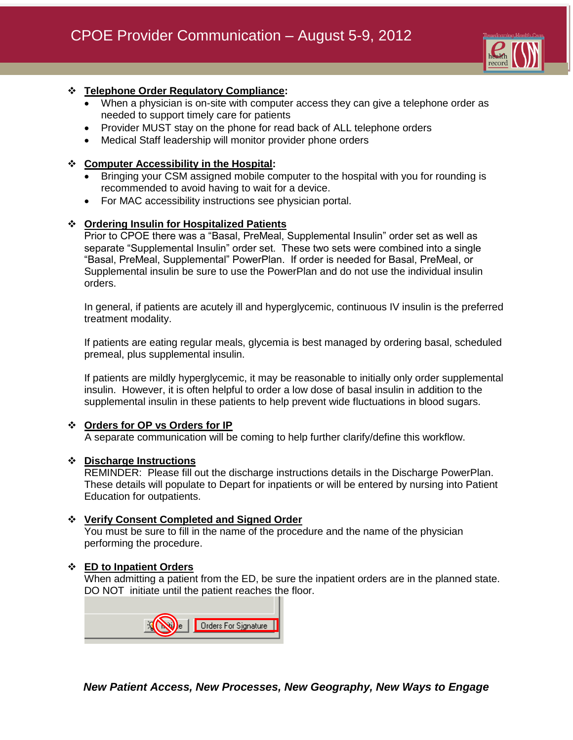

## **Telephone Order Regulatory Compliance:**

- When a physician is on-site with computer access they can give a telephone order as needed to support timely care for patients
- Provider MUST stay on the phone for read back of ALL telephone orders
- Medical Staff leadership will monitor provider phone orders

### **Computer Accessibility in the Hospital:**

- Bringing your CSM assigned mobile computer to the hospital with you for rounding is recommended to avoid having to wait for a device.
- For MAC accessibility instructions see physician portal.

## **Ordering Insulin for Hospitalized Patients**

Prior to CPOE there was a "Basal, PreMeal, Supplemental Insulin" order set as well as separate "Supplemental Insulin" order set. These two sets were combined into a single "Basal, PreMeal, Supplemental" PowerPlan. If order is needed for Basal, PreMeal, or Supplemental insulin be sure to use the PowerPlan and do not use the individual insulin orders.

In general, if patients are acutely ill and hyperglycemic, continuous IV insulin is the preferred treatment modality.

If patients are eating regular meals, glycemia is best managed by ordering basal, scheduled premeal, plus supplemental insulin.

If patients are mildly hyperglycemic, it may be reasonable to initially only order supplemental insulin. However, it is often helpful to order a low dose of basal insulin in addition to the supplemental insulin in these patients to help prevent wide fluctuations in blood sugars.

### **Orders for OP vs Orders for IP**

A separate communication will be coming to help further clarify/define this workflow.

### **Discharge Instructions**

REMINDER: Please fill out the discharge instructions details in the Discharge PowerPlan. These details will populate to Depart for inpatients or will be entered by nursing into Patient Education for outpatients.

### **Verify Consent Completed and Signed Order**

You must be sure to fill in the name of the procedure and the name of the physician performing the procedure.

### **ED to Inpatient Orders**

When admitting a patient from the ED, be sure the inpatient orders are in the planned state. DO NOT initiate until the patient reaches the floor.

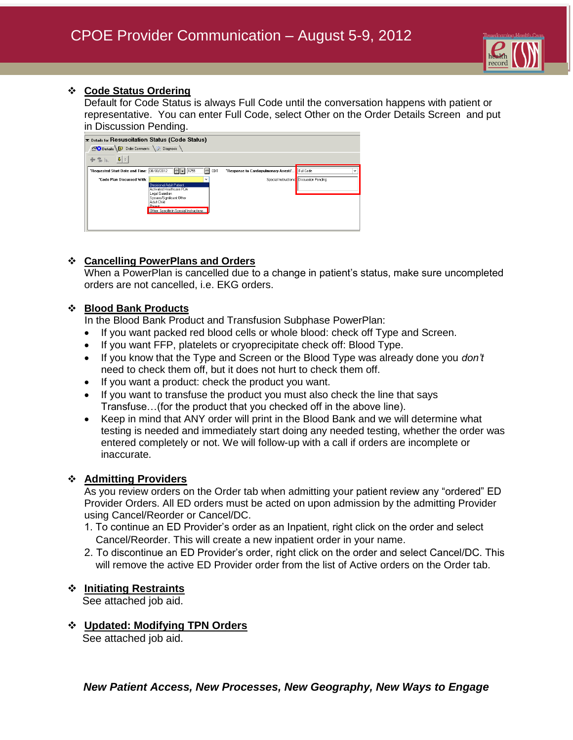

### **Code Status Ordering**

Default for Code Status is always Full Code until the conversation happens with patient or representative. You can enter Full Code, select Other on the Order Details Screen and put in Discussion Pending.

| E Details for Resuscitation Status (Code Status)  |                                                      |                                                |                                          |  |
|---------------------------------------------------|------------------------------------------------------|------------------------------------------------|------------------------------------------|--|
| Details D Order Comments ( Diagnosis              |                                                      |                                                |                                          |  |
| $\left  \frac{1}{2} \right $ $\frac{1}{2}$<br>十名瓜 |                                                      |                                                |                                          |  |
| *Requested Start Date and Time: 08/08/2012        | H<br>$  1755$<br>CDT                                 | "Response to Cardiopulmonary Arrest/ Full Code | $\checkmark$                             |  |
| "Code Plan Discussed With:                        | v                                                    |                                                | Special Instructions: Discussion Pending |  |
|                                                   | Decisional Adult Patient<br>Activated Healthcare POA |                                                |                                          |  |
|                                                   | Legal Guardian                                       |                                                |                                          |  |
|                                                   | Spouse/Significant Other                             |                                                |                                          |  |
|                                                   | Adult Child                                          |                                                |                                          |  |
|                                                   | Parant                                               |                                                |                                          |  |
|                                                   | Other: Specifiy in Special Instructions              |                                                |                                          |  |
|                                                   |                                                      |                                                |                                          |  |
|                                                   |                                                      |                                                |                                          |  |
|                                                   |                                                      |                                                |                                          |  |
|                                                   |                                                      |                                                |                                          |  |

## **Cancelling PowerPlans and Orders**

When a PowerPlan is cancelled due to a change in patient's status, make sure uncompleted orders are not cancelled, i.e. EKG orders.

## **Blood Bank Products**

In the Blood Bank Product and Transfusion Subphase PowerPlan:

- If you want packed red blood cells or whole blood: check off Type and Screen.
- If you want FFP, platelets or cryoprecipitate check off: Blood Type.
- If you know that the Type and Screen or the Blood Type was already done you *don't* need to check them off, but it does not hurt to check them off.
- If you want a product: check the product you want.
- If you want to transfuse the product you must also check the line that says Transfuse…(for the product that you checked off in the above line).
- Keep in mind that ANY order will print in the Blood Bank and we will determine what testing is needed and immediately start doing any needed testing, whether the order was entered completely or not. We will follow-up with a call if orders are incomplete or inaccurate.

### **Admitting Providers**

As you review orders on the Order tab when admitting your patient review any "ordered" ED Provider Orders. All ED orders must be acted on upon admission by the admitting Provider using Cancel/Reorder or Cancel/DC.

- 1. To continue an ED Provider's order as an Inpatient, right click on the order and select Cancel/Reorder. This will create a new inpatient order in your name.
- 2. To discontinue an ED Provider's order, right click on the order and select Cancel/DC. This will remove the active ED Provider order from the list of Active orders on the Order tab.

### **Initiating Restraints**

See attached job aid.

**Updated: Modifying TPN Orders** 

See attached job aid.